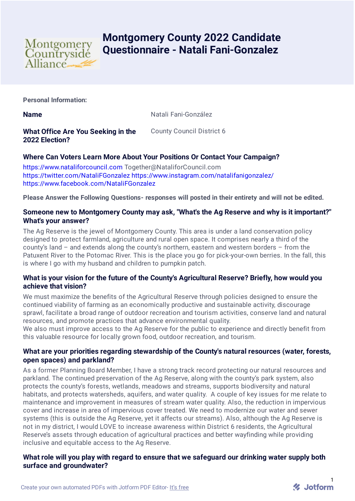

# **Montgomery County 2022 Candidate Questionnaire - Natali Fani-Gonzalez**

**Personal Information:**

**Name** Natali Fani-González

**What Office Are You Seeking in the 2022 Election?**

County Council District 6

# **Where Can Voters Learn More About Your Positions Or Contact Your Campaign?**

[https://www.nataliforcouncil.com](https://www.nataliforcouncil.com/) Together@NataliforCouncil.com <https://twitter.com/NataliFGonzalez> <https://www.instagram.com/natalifanigonzalez/> <https://www.facebook.com/NataliFGonzalez>

**Please Answer the Following Questions- responses will posted in their entirety and will not be edited.**

# **Someone new to Montgomery County may ask, "What's the Ag Reserve and why is it important?" What's your answer?**

The Ag Reserve is the jewel of Montgomery County. This area is under a land conservation policy designed to protect farmland, agriculture and rural open space. It comprises nearly a third of the county's land – and extends along the county's northern, eastern and western borders – from the Patuxent River to the Potomac River. This is the place you go for pick-your-own berries. In the fall, this is where I go with my husband and children to pumpkin patch.

# **What is your vision for the future of the County's Agricultural Reserve? Briefly, how would you achieve that vision?**

We must maximize the benefits of the Agricultural Reserve through policies designed to ensure the continued viability of farming as an economically productive and sustainable activity, discourage sprawl, facilitate a broad range of outdoor recreation and tourism activities, conserve land and natural resources, and promote practices that advance environmental quality.

We also must improve access to the Ag Reserve for the public to experience and directly benefit from this valuable resource for locally grown food, outdoor recreation, and tourism.

# **What are your priorities regarding stewardship of the County's natural resources (water, forests, open spaces) and parkland?**

As a former Planning Board Member, I have a strong track record protecting our natural resources and parkland. The continued preservation of the Ag Reserve, along with the county's park system, also protects the county's forests, wetlands, meadows and streams, supports biodiversity and natural habitats, and protects watersheds, aquifers, and water quality. A couple of key issues for me relate to maintenance and improvement in measures of stream water quality. Also, the reduction in impervious cover and increase in area of impervious cover treated. We need to modernize our water and sewer systems (this is outside the Ag Reserve, yet it affects our streams). Also, although the Ag Reserve is not in my district, I would LOVE to increase awareness within District 6 residents, the Agricultural Reserve's assets through education of agricultural practices and better wayfinding while providing inclusive and equitable access to the Ag Reserve.

# **What role will you play with regard to ensure that we safeguard our drinking water supply both surface and groundwater?**

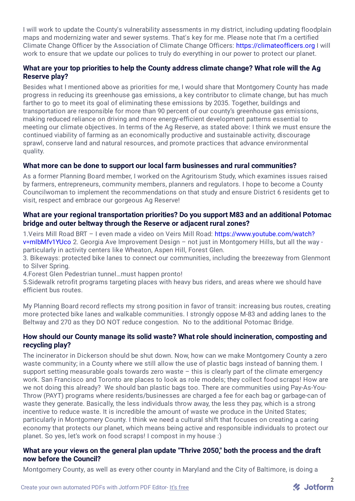I will work to update the County's vulnerability assessments in my district, including updating floodplain maps and modernizing water and sewer systems. That's key for me. Please note that I'm a certified Climate Change Officer by the Association of Climate Change Officers: [https://climateofficers.org](https://climateofficers.org/) I will work to ensure that we update our polices to truly do everything in our power to protect our planet.

# **What are your top priorities to help the County address climate change? What role will the Ag Reserve play?**

Besides what I mentioned above as priorities for me, I would share that Montgomery County has made progress in reducing its greenhouse gas emissions, a key contributor to climate change, but has much farther to go to meet its goal of eliminating these emissions by 2035. Together, buildings and transportation are responsible for more than 90 percent of our county's greenhouse gas emissions, making reduced reliance on driving and more energy-efficient development patterns essential to meeting our climate objectives. In terms of the Ag Reserve, as stated above: I think we must ensure the continued viability of farming as an economically productive and sustainable activity, discourage sprawl, conserve land and natural resources, and promote practices that advance environmental quality.

# **What more can be done to support our local farm businesses and rural communities?**

As a former Planning Board member, I worked on the Agritourism Study, which examines issues raised by farmers, entrepreneurs, community members, planners and regulators. I hope to become a County Councilwoman to implement the recommendations on that study and ensure District 6 residents get to visit, respect and embrace our gorgeous Ag Reserve!

# **What are your regional transportation priorities? Do you support M83 and an additional Potomac bridge and outer beltway through the Reserve or adjacent rural zones?**

1.Veirs Mill Road BRT – I even made a video on Veirs Mill Road: [https://www.youtube.com/watch?](https://www.youtube.com/watch?v=mlbMfv1YUco) v=mlbMfv1YUco 2. Georgia Ave Improvement Design – not just in Montgomery Hills, but all the way particularly in activity centers like Wheaton, Aspen Hill, Forest Glen.

3. Bikeways: protected bike lanes to connect our communities, including the breezeway from Glenmont to Silver Spring.

4.Forest Glen Pedestrian tunnel…must happen pronto!

5.Sidewalk retrofit programs targeting places with heavy bus riders, and areas where we should have efficient bus routes.

My Planning Board record reflects my strong position in favor of transit: increasing bus routes, creating more protected bike lanes and walkable communities. I strongly oppose M-83 and adding lanes to the Beltway and 270 as they DO NOT reduce congestion. No to the additional Potomac Bridge.

#### **How should our County manage its solid waste? What role should incineration, composting and recycling play?**

The incinerator in Dickerson should be shut down. Now, how can we make Montgomery County a zero waste community; in a County where we still allow the use of plastic bags instead of banning them. I support setting measurable goals towards zero waste – this is clearly part of the climate emergency work. San Francisco and Toronto are places to look as role models; they collect food scraps! How are we not doing this already? We should ban plastic bags too. There are communities using Pay-As-You-Throw (PAYT) programs where residents/businesses are charged a fee for each bag or garbage-can of waste they generate. Basically, the less individuals throw away, the less they pay, which is a strong incentive to reduce waste. It is incredible the amount of waste we produce in the United States; particularly in Montgomery County. I think we need a cultural shift that focuses on creating a caring economy that protects our planet, which means being active and responsible individuals to protect our planet. So yes, let's work on food scraps! I compost in my house :)

# **What are your views on the general plan update "Thrive 2050," both the process and the draft now before the Council?**

Montgomery County, as well as every other county in Maryland and the City of Baltimore, is doing a